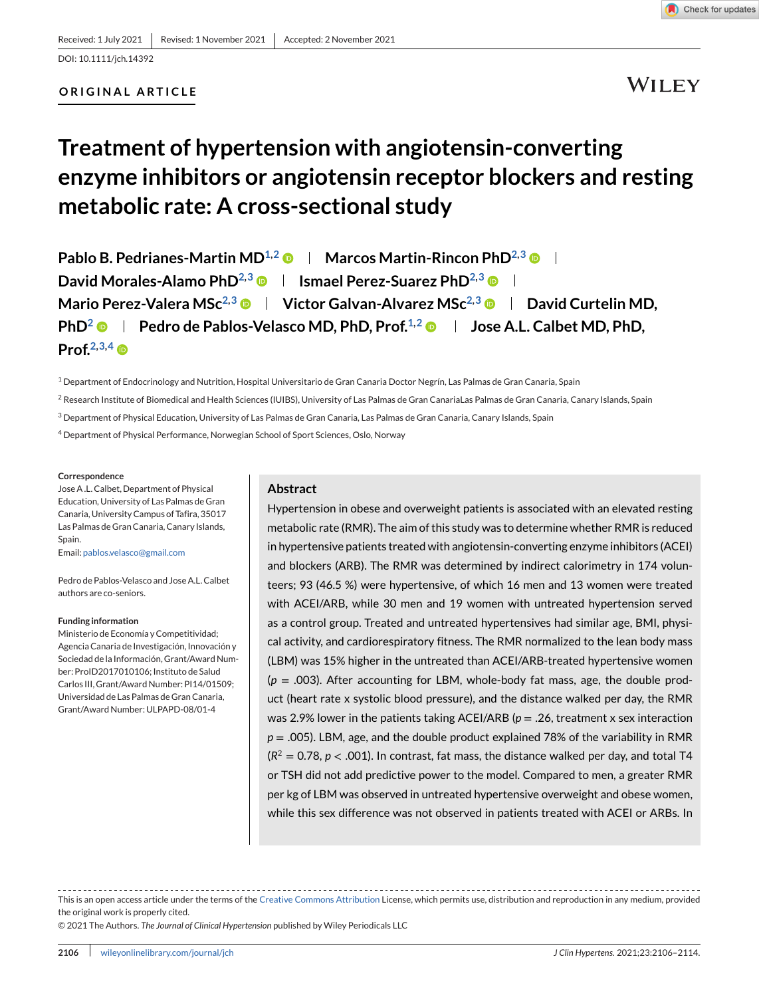DOI: 10.1111/jch.14392

# **ORIGINAL ARTICLE**

# **WILEY**

# **Treatment of hypertension with angiotensin-converting enzyme inhibitors or angiotensin receptor blockers and resting metabolic rate: A cross-sectional study**

| Pablo B. Pedrianes-Martin MD <sup>1,2</sup> $\bullet$   Marcos Martin-Rincon PhD <sup>2,3</sup> $\bullet$                 |
|---------------------------------------------------------------------------------------------------------------------------|
| David Morales-Alamo PhD <sup>2,3</sup> $\bullet$   Ismael Perez-Suarez PhD <sup>2,3</sup> $\bullet$                       |
| Mario Perez-Valera MSc <sup>2,3</sup> $\bullet$   Victor Galvan-Alvarez MSc <sup>2,3</sup> $\bullet$   David Curtelin MD, |
| <b>PhD<sup>2</sup> •</b>   Pedro de Pablos-Velasco MD, PhD, Prof. <sup>1,2</sup> •   Jose A.L. Calbet MD, PhD,            |
| Prof. $2,3,4$ $\oplus$                                                                                                    |

<sup>1</sup> Department of Endocrinology and Nutrition, Hospital Universitario de Gran Canaria Doctor Negrín, Las Palmas de Gran Canaria, Spain

<sup>2</sup> Research Institute of Biomedical and Health Sciences (IUIBS), University of Las Palmas de Gran Canarialas Palmas de Gran Canaria, Canary Islands, Spain

<sup>3</sup> Department of Physical Education, University of Las Palmas de Gran Canaria, Las Palmas de Gran Canaria, Canary Islands, Spain

<sup>4</sup> Department of Physical Performance, Norwegian School of Sport Sciences, Oslo, Norway

#### **Correspondence**

Jose A .L. Calbet, Department of Physical Education, University of Las Palmas de Gran Canaria, University Campus of Tafira, 35017 Las Palmas de Gran Canaria, Canary Islands, Spain.

Email: [pablos.velasco@gmail.com](mailto:pablos.velasco@gmail.com)

Pedro de Pablos-Velasco and Jose A.L. Calbet authors are co-seniors.

#### **Funding information**

Ministerio de Economía y Competitividad; Agencia Canaria de Investigación, Innovación y Sociedad de la Información, Grant/Award Number: ProID2017010106; Instituto de Salud Carlos III, Grant/Award Number: PI14/01509; Universidad de Las Palmas de Gran Canaria, Grant/Award Number: ULPAPD-08/01-4

#### **Abstract**

Hypertension in obese and overweight patients is associated with an elevated resting metabolic rate (RMR). The aim of this study was to determine whether RMR is reduced in hypertensive patients treated with angiotensin-converting enzyme inhibitors (ACEI) and blockers (ARB). The RMR was determined by indirect calorimetry in 174 volunteers; 93 (46.5 %) were hypertensive, of which 16 men and 13 women were treated with ACEI/ARB, while 30 men and 19 women with untreated hypertension served as a control group. Treated and untreated hypertensives had similar age, BMI, physical activity, and cardiorespiratory fitness. The RMR normalized to the lean body mass (LBM) was 15% higher in the untreated than ACEI/ARB-treated hypertensive women  $(p = .003)$ . After accounting for LBM, whole-body fat mass, age, the double product (heart rate x systolic blood pressure), and the distance walked per day, the RMR was 2.9% lower in the patients taking ACEI/ARB (*p* = .26, treatment x sex interaction *p* = .005). LBM, age, and the double product explained 78% of the variability in RMR  $(R^2 = 0.78, p < .001)$ . In contrast, fat mass, the distance walked per day, and total T4 or TSH did not add predictive power to the model. Compared to men, a greater RMR per kg of LBM was observed in untreated hypertensive overweight and obese women, while this sex difference was not observed in patients treated with ACEI or ARBs. In

This is an open access article under the terms of the [Creative Commons Attribution](http://creativecommons.org/licenses/by/4.0/) License, which permits use, distribution and reproduction in any medium, provided the original work is properly cited.

© 2021 The Authors. *The Journal of Clinical Hypertension* published by Wiley Periodicals LLC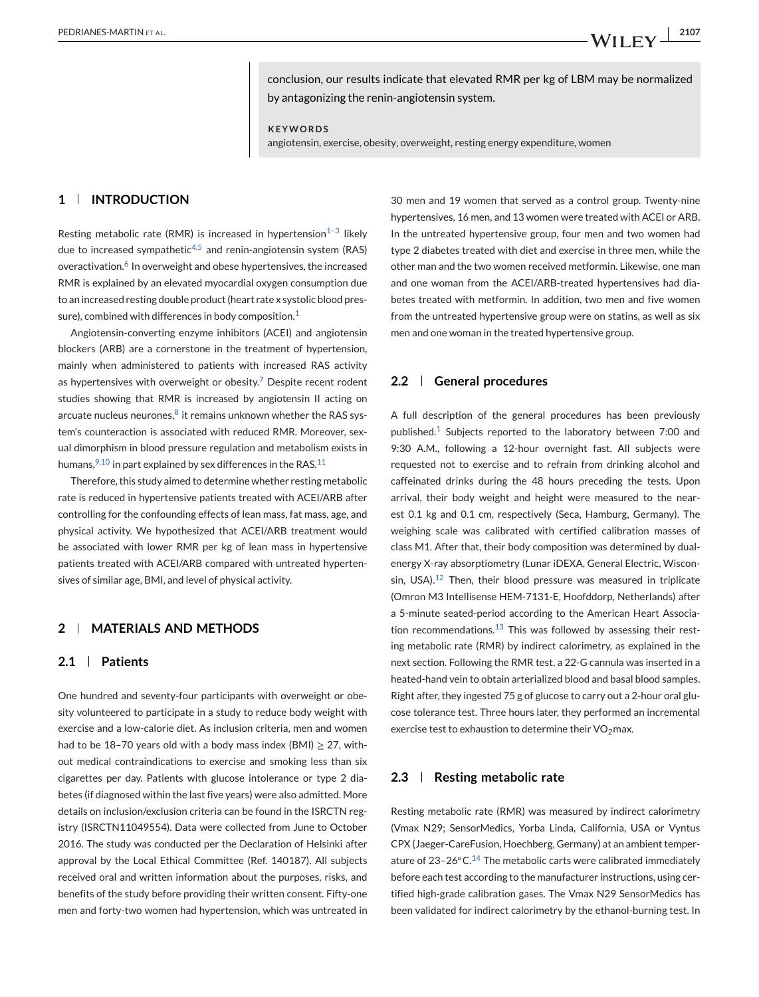conclusion, our results indicate that elevated RMR per kg of LBM may be normalized by antagonizing the renin-angiotensin system.

**KEYWORDS**

angiotensin, exercise, obesity, overweight, resting energy expenditure, women

# **1 INTRODUCTION**

Resting metabolic rate (RMR) is increased in hypertension $1-3$  likely due to increased sympathetic<sup>[4,5](#page-7-0)</sup> and renin-angiotensin system (RAS) overactivation.<sup>[6](#page-8-0)</sup> In overweight and obese hypertensives, the increased RMR is explained by an elevated myocardial oxygen consumption due to an increased resting double product (heart rate x systolic blood pressure), combined with differences in body composition. $1$ 

Angiotensin-converting enzyme inhibitors (ACEI) and angiotensin blockers (ARB) are a cornerstone in the treatment of hypertension, mainly when administered to patients with increased RAS activity as hypertensives with overweight or obesity.<sup>[7](#page-8-0)</sup> Despite recent rodent studies showing that RMR is increased by angiotensin II acting on arcuate nucleus neurones, $8$  it remains unknown whether the RAS system's counteraction is associated with reduced RMR. Moreover, sexual dimorphism in blood pressure regulation and metabolism exists in humans,  $9,10$  in part explained by sex differences in the RAS.  $11$ 

Therefore, this study aimed to determine whether resting metabolic rate is reduced in hypertensive patients treated with ACEI/ARB after controlling for the confounding effects of lean mass, fat mass, age, and physical activity. We hypothesized that ACEI/ARB treatment would be associated with lower RMR per kg of lean mass in hypertensive patients treated with ACEI/ARB compared with untreated hypertensives of similar age, BMI, and level of physical activity.

#### **2 MATERIALS AND METHODS**

# **2.1 Patients**

One hundred and seventy-four participants with overweight or obesity volunteered to participate in a study to reduce body weight with exercise and a low-calorie diet. As inclusion criteria, men and women had to be 18–70 years old with a body mass index (BMI)  $\geq$  27, without medical contraindications to exercise and smoking less than six cigarettes per day. Patients with glucose intolerance or type 2 diabetes (if diagnosed within the last five years) were also admitted. More details on inclusion/exclusion criteria can be found in the ISRCTN registry (ISRCTN11049554). Data were collected from June to October 2016. The study was conducted per the Declaration of Helsinki after approval by the Local Ethical Committee (Ref. 140187). All subjects received oral and written information about the purposes, risks, and benefits of the study before providing their written consent. Fifty-one men and forty-two women had hypertension, which was untreated in

30 men and 19 women that served as a control group. Twenty-nine hypertensives, 16 men, and 13 women were treated with ACEI or ARB. In the untreated hypertensive group, four men and two women had type 2 diabetes treated with diet and exercise in three men, while the other man and the two women received metformin. Likewise, one man and one woman from the ACEI/ARB-treated hypertensives had diabetes treated with metformin. In addition, two men and five women from the untreated hypertensive group were on statins, as well as six men and one woman in the treated hypertensive group.

#### **2.2 General procedures**

A full description of the general procedures has been previously published.<sup>[1](#page-7-0)</sup> Subjects reported to the laboratory between 7:00 and 9:30 A.M., following a 12-hour overnight fast. All subjects were requested not to exercise and to refrain from drinking alcohol and caffeinated drinks during the 48 hours preceding the tests. Upon arrival, their body weight and height were measured to the nearest 0.1 kg and 0.1 cm, respectively (Seca, Hamburg, Germany). The weighing scale was calibrated with certified calibration masses of class M1. After that, their body composition was determined by dualenergy X-ray absorptiometry (Lunar iDEXA, General Electric, Wiscon-sin, USA).<sup>[12](#page-8-0)</sup> Then, their blood pressure was measured in triplicate (Omron M3 Intellisense HEM-7131-E, Hoofddorp, Netherlands) after a 5-minute seated-period according to the American Heart Association recommendations. $13$  This was followed by assessing their resting metabolic rate (RMR) by indirect calorimetry, as explained in the next section. Following the RMR test, a 22-G cannula was inserted in a heated-hand vein to obtain arterialized blood and basal blood samples. Right after, they ingested 75 g of glucose to carry out a 2-hour oral glucose tolerance test. Three hours later, they performed an incremental exercise test to exhaustion to determine their  $VO<sub>2</sub>$ max.

#### **2.3 Resting metabolic rate**

Resting metabolic rate (RMR) was measured by indirect calorimetry (Vmax N29; SensorMedics, Yorba Linda, California, USA or Vyntus CPX (Jaeger-CareFusion, Hoechberg, Germany) at an ambient temperature of  $23-26$ °C.<sup>[14](#page-8-0)</sup> The metabolic carts were calibrated immediately before each test according to the manufacturer instructions, using certified high-grade calibration gases. The Vmax N29 SensorMedics has been validated for indirect calorimetry by the ethanol-burning test. In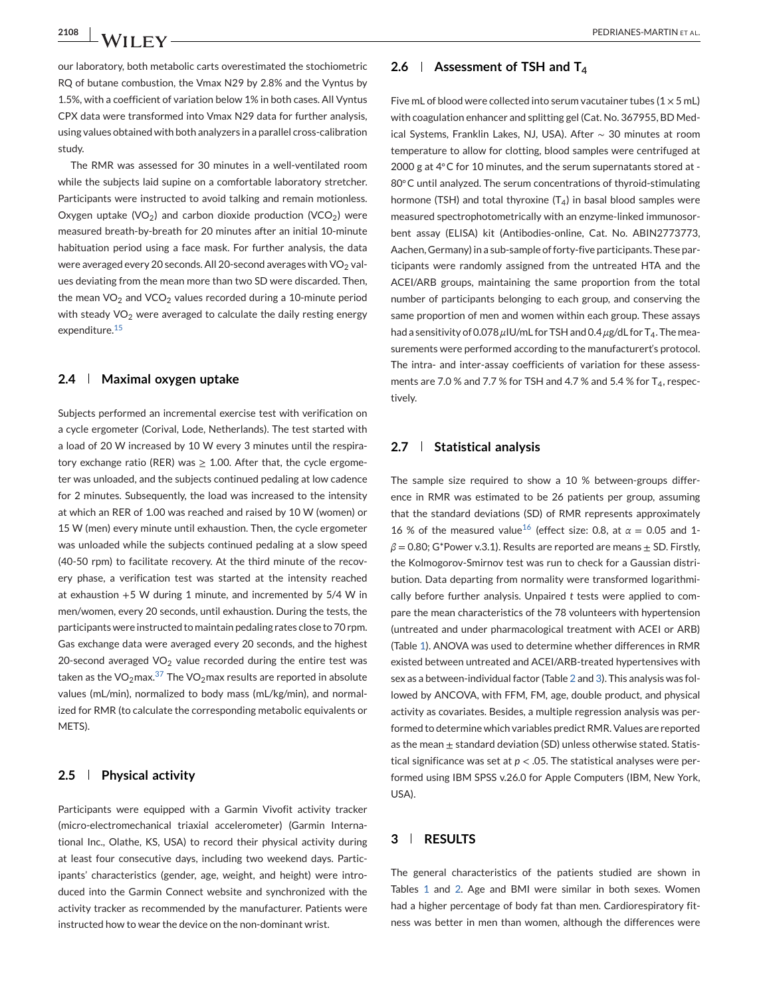our laboratory, both metabolic carts overestimated the stochiometric RQ of butane combustion, the Vmax N29 by 2.8% and the Vyntus by 1.5%, with a coefficient of variation below 1% in both cases. All Vyntus CPX data were transformed into Vmax N29 data for further analysis, using values obtained with both analyzers in a parallel cross-calibration study.

The RMR was assessed for 30 minutes in a well-ventilated room while the subjects laid supine on a comfortable laboratory stretcher. Participants were instructed to avoid talking and remain motionless. Oxygen uptake (VO<sub>2</sub>) and carbon dioxide production (VCO<sub>2</sub>) were measured breath-by-breath for 20 minutes after an initial 10-minute habituation period using a face mask. For further analysis, the data were averaged every 20 seconds. All 20-second averages with  $VO<sub>2</sub>$  values deviating from the mean more than two SD were discarded. Then, the mean  $VO<sub>2</sub>$  and  $VCO<sub>2</sub>$  values recorded during a 10-minute period with steady  $VO<sub>2</sub>$  were averaged to calculate the daily resting energy expenditure.[15](#page-8-0)

#### **2.4 Maximal oxygen uptake**

Subjects performed an incremental exercise test with verification on a cycle ergometer (Corival, Lode, Netherlands). The test started with a load of 20 W increased by 10 W every 3 minutes until the respiratory exchange ratio (RER) was  $\geq$  1.00. After that, the cycle ergometer was unloaded, and the subjects continued pedaling at low cadence for 2 minutes. Subsequently, the load was increased to the intensity at which an RER of 1.00 was reached and raised by 10 W (women) or 15 W (men) every minute until exhaustion. Then, the cycle ergometer was unloaded while the subjects continued pedaling at a slow speed (40-50 rpm) to facilitate recovery. At the third minute of the recovery phase, a verification test was started at the intensity reached at exhaustion +5 W during 1 minute, and incremented by 5/4 W in men/women, every 20 seconds, until exhaustion. During the tests, the participants were instructed to maintain pedaling rates close to 70 rpm. Gas exchange data were averaged every 20 seconds, and the highest 20-second averaged  $VO<sub>2</sub>$  value recorded during the entire test was taken as the VO<sub>2</sub>max.<sup>[37](#page-8-0)</sup> The VO<sub>2</sub>max results are reported in absolute values (mL/min), normalized to body mass (mL/kg/min), and normalized for RMR (to calculate the corresponding metabolic equivalents or METS).

#### **2.5 Physical activity**

Participants were equipped with a Garmin Vivofit activity tracker (micro-electromechanical triaxial accelerometer) (Garmin International Inc., Olathe, KS, USA) to record their physical activity during at least four consecutive days, including two weekend days. Participants' characteristics (gender, age, weight, and height) were introduced into the Garmin Connect website and synchronized with the activity tracker as recommended by the manufacturer. Patients were instructed how to wear the device on the non-dominant wrist.

# **2.6 Assessment of TSH and T4**

Five mL of blood were collected into serum vacutainer tubes ( $1 \times 5$  mL) with coagulation enhancer and splitting gel (Cat. No. 367955, BD Medical Systems, Franklin Lakes, NJ, USA). After ∼ 30 minutes at room temperature to allow for clotting, blood samples were centrifuged at 2000 g at 4℃ for 10 minutes, and the serum supernatants stored at -80℃ until analyzed. The serum concentrations of thyroid-stimulating hormone (TSH) and total thyroxine  $(T_4)$  in basal blood samples were measured spectrophotometrically with an enzyme-linked immunosorbent assay (ELISA) kit (Antibodies-online, Cat. No. ABIN2773773, Aachen, Germany) in a sub-sample of forty-five participants. These participants were randomly assigned from the untreated HTA and the ACEI/ARB groups, maintaining the same proportion from the total number of participants belonging to each group, and conserving the same proportion of men and women within each group. These assays had a sensitivity of 0.078 *μ*IU/mL for TSH and 0.4 *μg*/dL for T<sub>4</sub>. The measurements were performed according to the manufacturert's protocol. The intra- and inter-assay coefficients of variation for these assessments are 7.0 % and 7.7 % for TSH and 4.7 % and 5.4 % for  $T_4$ , respectively.

#### **2.7 Statistical analysis**

The sample size required to show a 10 % between-groups difference in RMR was estimated to be 26 patients per group, assuming that the standard deviations (SD) of RMR represents approximately [16](#page-8-0) % of the measured value<sup>16</sup> (effect size: 0.8, at  $\alpha$  = 0.05 and 1- $\beta$  = 0.80; G\*Power v.3.1). Results are reported are means  $\pm$  SD. Firstly, the Kolmogorov-Smirnov test was run to check for a Gaussian distribution. Data departing from normality were transformed logarithmically before further analysis. Unpaired *t* tests were applied to compare the mean characteristics of the 78 volunteers with hypertension (untreated and under pharmacological treatment with ACEI or ARB) (Table [1\)](#page-3-0). ANOVA was used to determine whether differences in RMR existed between untreated and ACEI/ARB-treated hypertensives with sex as a between-individual factor (Table [2](#page-4-0) and [3\)](#page-5-0). This analysis was followed by ANCOVA, with FFM, FM, age, double product, and physical activity as covariates. Besides, a multiple regression analysis was performed to determine which variables predict RMR. Values are reported as the mean  $\pm$  standard deviation (SD) unless otherwise stated. Statistical significance was set at  $p < .05$ . The statistical analyses were performed using IBM SPSS v.26.0 for Apple Computers (IBM, New York, USA).

# **3 RESULTS**

The general characteristics of the patients studied are shown in Tables [1](#page-3-0) and [2.](#page-4-0) Age and BMI were similar in both sexes. Women had a higher percentage of body fat than men. Cardiorespiratory fitness was better in men than women, although the differences were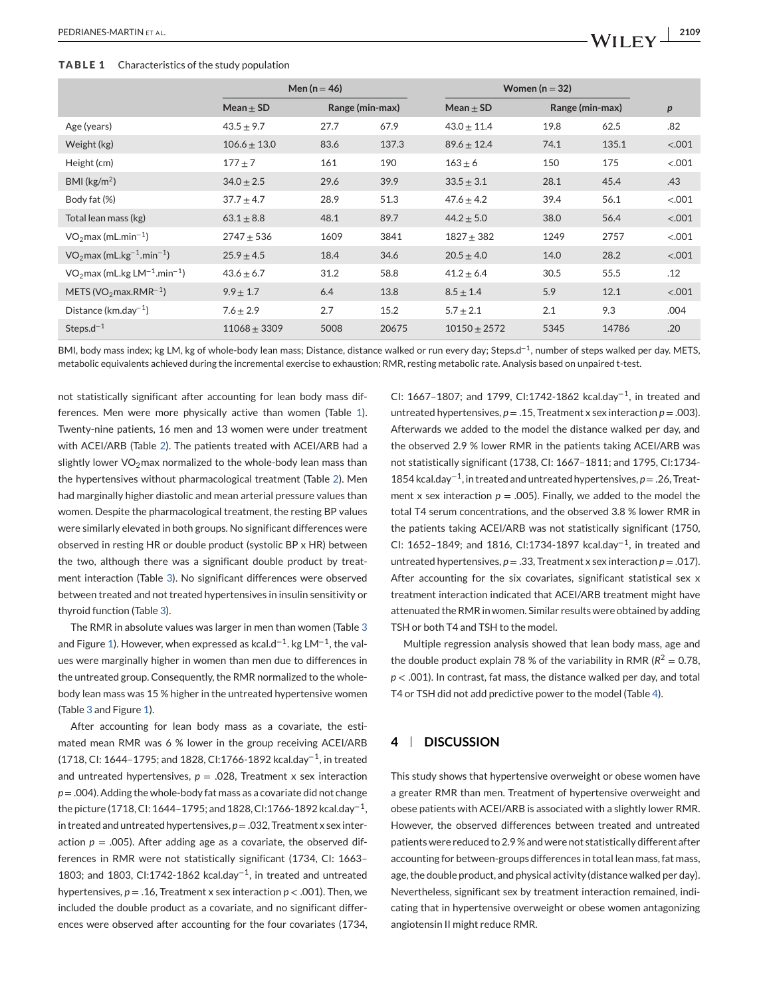#### <span id="page-3-0"></span>**TABLE 1** Characteristics of the study population

|                                                        | Men ( $n = 46$ ) |                 |       | Women $(n = 32)$ |                 |       |        |
|--------------------------------------------------------|------------------|-----------------|-------|------------------|-----------------|-------|--------|
|                                                        | Mean $\pm$ SD    | Range (min-max) |       | Mean $\pm$ SD    | Range (min-max) |       | p      |
| Age (years)                                            | $43.5 \pm 9.7$   | 27.7            | 67.9  | $43.0 \pm 11.4$  | 19.8            | 62.5  | .82    |
| Weight (kg)                                            | $106.6 \pm 13.0$ | 83.6            | 137.3 | $89.6 \pm 12.4$  | 74.1            | 135.1 | < .001 |
| Height (cm)                                            | $177 + 7$        | 161             | 190   | $163 \pm 6$      | 150             | 175   | < .001 |
| $BMI$ (kg/m <sup>2</sup> )                             | $34.0 \pm 2.5$   | 29.6            | 39.9  | $33.5 \pm 3.1$   | 28.1            | 45.4  | .43    |
| Body fat (%)                                           | $37.7 \pm 4.7$   | 28.9            | 51.3  | $47.6 \pm 4.2$   | 39.4            | 56.1  | < .001 |
| Total lean mass (kg)                                   | $63.1 \pm 8.8$   | 48.1            | 89.7  | $44.2 \pm 5.0$   | 38.0            | 56.4  | < .001 |
| $VO2$ max (mL.min <sup>-1</sup> )                      | $2747 + 536$     | 1609            | 3841  | $1827 \pm 382$   | 1249            | 2757  | < .001 |
| $VO2$ max (mL.kg <sup>-1</sup> .min <sup>-1</sup> )    | $25.9 \pm 4.5$   | 18.4            | 34.6  | $20.5 \pm 4.0$   | 14.0            | 28.2  | < .001 |
| $VO2$ max (mL.kg LM <sup>-1</sup> .min <sup>-1</sup> ) | $43.6 \pm 6.7$   | 31.2            | 58.8  | $41.2 \pm 6.4$   | 30.5            | 55.5  | .12    |
| METS (VO <sub>2</sub> max.RMR <sup>-1</sup> )          | $9.9 \pm 1.7$    | 6.4             | 13.8  | $8.5 \pm 1.4$    | 5.9             | 12.1  | < .001 |
| Distance (km.day <sup>-1</sup> )                       | $7.6 \pm 2.9$    | 2.7             | 15.2  | $5.7 \pm 2.1$    | 2.1             | 9.3   | .004   |
| Steps.d <sup><math>-1</math></sup>                     | $11068 \pm 3309$ | 5008            | 20675 | $10150 \pm 2572$ | 5345            | 14786 | .20    |

BMI, body mass index; kg LM, kg of whole-body lean mass; Distance, distance walked or run every day; Steps.d<sup>−</sup>1, number of steps walked per day. METS, metabolic equivalents achieved during the incremental exercise to exhaustion; RMR, resting metabolic rate. Analysis based on unpaired t-test.

not statistically significant after accounting for lean body mass differences. Men were more physically active than women (Table 1). Twenty-nine patients, 16 men and 13 women were under treatment with ACEI/ARB (Table [2\)](#page-4-0). The patients treated with ACEI/ARB had a slightly lower  $VO<sub>2</sub>$  max normalized to the whole-body lean mass than the hypertensives without pharmacological treatment (Table [2\)](#page-4-0). Men had marginally higher diastolic and mean arterial pressure values than women. Despite the pharmacological treatment, the resting BP values were similarly elevated in both groups. No significant differences were observed in resting HR or double product (systolic BP x HR) between the two, although there was a significant double product by treatment interaction (Table [3\)](#page-5-0). No significant differences were observed between treated and not treated hypertensives in insulin sensitivity or thyroid function (Table [3\)](#page-5-0).

The RMR in absolute values was larger in men than women (Table [3](#page-5-0) and Figure [1\)](#page-6-0). However, when expressed as kcal.d<sup>-1</sup>. kg LM<sup>-1</sup>, the values were marginally higher in women than men due to differences in the untreated group. Consequently, the RMR normalized to the wholebody lean mass was 15 % higher in the untreated hypertensive women (Table [3](#page-5-0) and Figure [1\)](#page-6-0).

After accounting for lean body mass as a covariate, the estimated mean RMR was 6 % lower in the group receiving ACEI/ARB (1718, CI: 1644–1795; and 1828, CI:1766-1892 kcal.day<sup>−</sup>1, in treated and untreated hypertensives,  $p = 0.028$ , Treatment x sex interaction  $p = 0.004$ ). Adding the whole-body fat mass as a covariate did not change the picture (1718, CI: 1644–1795; and 1828, CI:1766-1892 kcal.day<sup>−</sup>1, in treated and untreated hypertensives,  $p = .032$ , Treatment x sex interaction  $p = .005$ ). After adding age as a covariate, the observed differences in RMR were not statistically significant (1734, CI: 1663– 1803; and 1803, CI:1742-1862 kcal.day<sup>−</sup>1, in treated and untreated hypertensives,  $p = 0.16$ , Treatment x sex interaction  $p < 0.001$ ). Then, we included the double product as a covariate, and no significant differences were observed after accounting for the four covariates (1734, CI: 1667–1807; and 1799, CI:1742-1862 kcal.day<sup>−</sup>1, in treated and untreated hypertensives,  $p = 0.15$ , Treatment x sex interaction  $p = 0.003$ ). Afterwards we added to the model the distance walked per day, and the observed 2.9 % lower RMR in the patients taking ACEI/ARB was not statistically significant (1738, CI: 1667–1811; and 1795, CI:1734- 1854 kcal.day<sup>−</sup>1, in treated and untreated hypertensives, *p* = .26, Treatment x sex interaction  $p = .005$ ). Finally, we added to the model the total T4 serum concentrations, and the observed 3.8 % lower RMR in the patients taking ACEI/ARB was not statistically significant (1750, CI: 1652–1849; and 1816, CI:1734-1897 kcal.day<sup>−</sup>1, in treated and untreated hypertensives,  $p = 0.33$ , Treatment x sex interaction  $p = 0.017$ ). After accounting for the six covariates, significant statistical sex x treatment interaction indicated that ACEI/ARB treatment might have attenuated the RMR in women. Similar results were obtained by adding TSH or both T4 and TSH to the model.

Multiple regression analysis showed that lean body mass, age and the double product explain 78 % of the variability in RMR ( $R^2 = 0.78$ , *p* < .001). In contrast, fat mass, the distance walked per day, and total T4 or TSH did not add predictive power to the model (Table [4\)](#page-6-0).

# **4 DISCUSSION**

This study shows that hypertensive overweight or obese women have a greater RMR than men. Treatment of hypertensive overweight and obese patients with ACEI/ARB is associated with a slightly lower RMR. However, the observed differences between treated and untreated patients were reduced to 2.9 % and were not statistically different after accounting for between-groups differences in total lean mass, fat mass, age, the double product, and physical activity (distance walked per day). Nevertheless, significant sex by treatment interaction remained, indicating that in hypertensive overweight or obese women antagonizing angiotensin II might reduce RMR.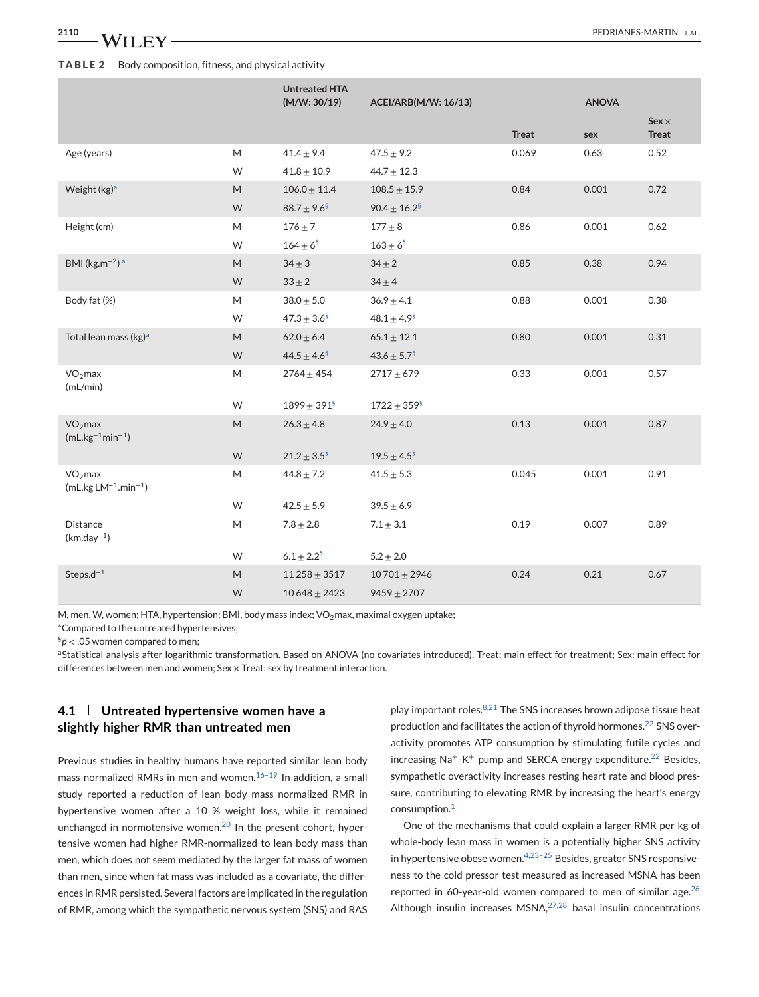#### <span id="page-4-0"></span>**TABLE 2** Body composition, fitness, and physical activity

|                                                   |           | <b>Untreated HTA</b><br>(M/W: 30/19) | ACEI/ARB(M/W: 16/13)         |              | <b>ANOVA</b> |                              |
|---------------------------------------------------|-----------|--------------------------------------|------------------------------|--------------|--------------|------------------------------|
|                                                   |           |                                      |                              | <b>Treat</b> | sex          | $Sex \times$<br><b>Treat</b> |
| Age (years)                                       | M         | $41.4 \pm 9.4$                       | $47.5 \pm 9.2$               | 0.069        | 0.63         | 0.52                         |
|                                                   | W         | $41.8 \pm 10.9$                      | $44.7 \pm 12.3$              |              |              |                              |
| Weight $(kg)^a$                                   | M         | $106.0 \pm 11.4$                     | $108.5 \pm 15.9$             | 0.84         | 0.001        | 0.72                         |
|                                                   | W         | $88.7 \pm 9.6^{\$}$                  | $90.4 \pm 16.2$ <sup>§</sup> |              |              |                              |
| Height (cm)                                       | M         | $176 \pm 7$                          | $177 + 8$                    | 0.86         | 0.001        | 0.62                         |
|                                                   | W         | $164 \pm 6^{\frac{5}{3}}$            | $163 \pm 6^{\frac{5}{2}}$    |              |              |                              |
| BMI ( $\text{kg}$ .m <sup>-2</sup> ) <sup>a</sup> | M         | $34 \pm 3$                           | $34 \pm 2$                   | 0.85         | 0.38         | 0.94                         |
|                                                   | W         | $33 \pm 2$                           | $34 \pm 4$                   |              |              |                              |
| Body fat (%)                                      | M         | $38.0 \pm 5.0$                       | $36.9 \pm 4.1$               | 0.88         | 0.001        | 0.38                         |
|                                                   | W         | $47.3 \pm 3.6^{\frac{5}{3}}$         | $48.1 \pm 4.9$ <sup>§</sup>  |              |              |                              |
| Total lean mass (kg) <sup>a</sup>                 | M         | $62.0 \pm 6.4$                       | $65.1 \pm 12.1$              | 0.80         | 0.001        | 0.31                         |
|                                                   | W         | $44.5 \pm 4.6^{\frac{5}{3}}$         | $43.6 \pm 5.7^{\frac{6}{5}}$ |              |              |                              |
| $VO2$ max<br>(mL/min)                             | M         | $2764 \pm 454$                       | $2717 + 679$                 | 0.33         | 0.001        | 0.57                         |
|                                                   | W         | $1899 \pm 391^8$                     | $1722 \pm 359^{\frac{5}{3}}$ |              |              |                              |
| $VO2$ max<br>$(mL.kg^{-1}min^{-1})$               | M         | $26.3 \pm 4.8$                       | $24.9 \pm 4.0$               | 0.13         | 0.001        | 0.87                         |
|                                                   | W         | $21.2 \pm 3.5^{\frac{5}{3}}$         | $19.5 \pm 4.5^{\frac{5}{3}}$ |              |              |                              |
| $VO2$ max<br>$(mL.kg LM^{-1}.min^{-1})$           | M         | $44.8 \pm 7.2$                       | $41.5 \pm 5.3$               | 0.045        | 0.001        | 0.91                         |
|                                                   | W         | $42.5 \pm 5.9$                       | $39.5 \pm 6.9$               |              |              |                              |
| Distance<br>$(km.day^{-1})$                       | M         | $7.8\pm2.8$                          | $7.1\pm3.1$                  | 0.19         | 0.007        | 0.89                         |
|                                                   | W         | $6.1 \pm 2.2^8$                      | $5.2 \pm 2.0$                |              |              |                              |
| Steps. $d^{-1}$                                   | ${\sf M}$ | $11258 \pm 3517$                     | $10701 \pm 2946$             | 0.24         | 0.21         | 0.67                         |
|                                                   | W         | $10648 \pm 2423$                     | $9459 \pm 2707$              |              |              |                              |

M, men, W, women; HTA, hypertension; BMI, body mass index;  $VO<sub>2</sub>$ max, maximal oxygen uptake;

\*Compared to the untreated hypertensives;

§*p* < .05 women compared to men;

aStatistical analysis after logarithmic transformation. Based on ANOVA (no covariates introduced), Treat: main effect for treatment; Sex: main effect for differences between men and women; Sex  $\times$  Treat: sex by treatment interaction.

# **4.1 Untreated hypertensive women have a slightly higher RMR than untreated men**

Previous studies in healthy humans have reported similar lean body mass normalized RMRs in men and women. $16-19$  In addition, a small study reported a reduction of lean body mass normalized RMR in hypertensive women after a 10 % weight loss, while it remained unchanged in normotensive women. $20$  In the present cohort, hypertensive women had higher RMR-normalized to lean body mass than men, which does not seem mediated by the larger fat mass of women than men, since when fat mass was included as a covariate, the differences in RMR persisted. Several factors are implicated in the regulation of RMR, among which the sympathetic nervous system (SNS) and RAS

play important roles. $8,21$  The SNS increases brown adipose tissue heat production and facilitates the action of thyroid hormones.<sup>[22](#page-8-0)</sup> SNS overactivity promotes ATP consumption by stimulating futile cycles and increasing  $Na^+ - K^+$  pump and SERCA energy expenditure.<sup>[22](#page-8-0)</sup> Besides, sympathetic overactivity increases resting heart rate and blood pressure, contributing to elevating RMR by increasing the heart's energy consumption.[1](#page-7-0)

One of the mechanisms that could explain a larger RMR per kg of whole-body lean mass in women is a potentially higher SNS activity in hypertensive obese women. $4,23-25$  Besides, greater SNS responsiveness to the cold pressor test measured as increased MSNA has been reported in 60-year-old women compared to men of similar age.<sup>[26](#page-8-0)</sup> Although insulin increases  $MSNA<sub>1</sub><sup>27,28</sup>$  $MSNA<sub>1</sub><sup>27,28</sup>$  $MSNA<sub>1</sub><sup>27,28</sup>$  basal insulin concentrations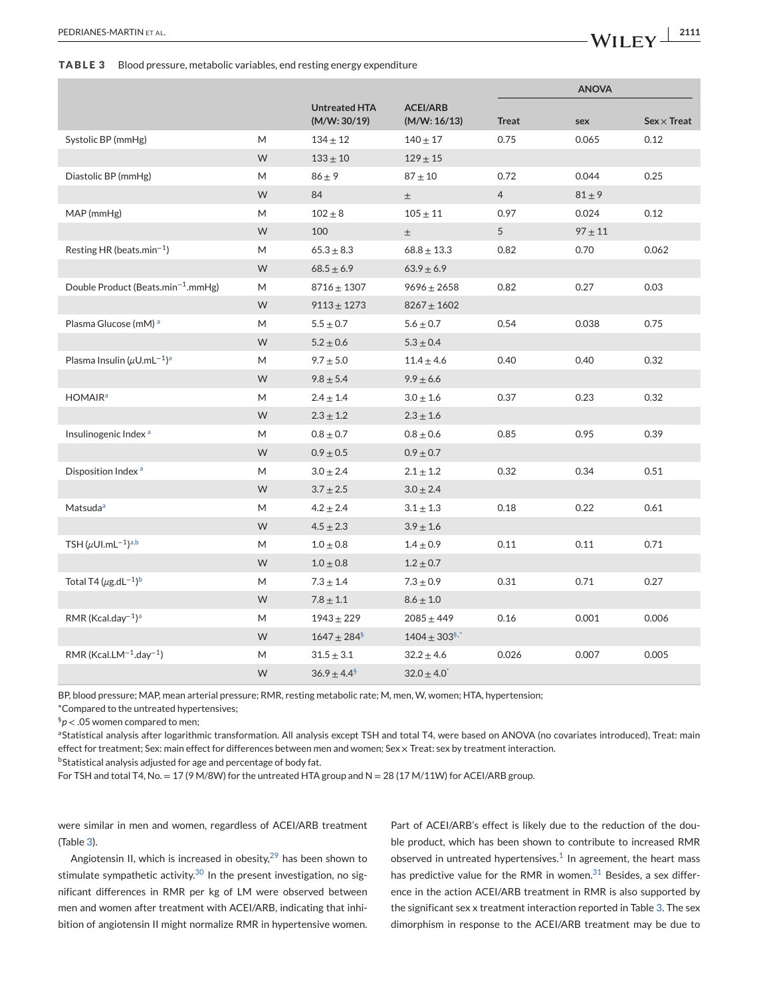<span id="page-5-0"></span>**TABLE 3** Blood pressure, metabolic variables, end resting energy expenditure

|                                                          |   |                                      |                                 |                | <b>ANOVA</b> |                    |  |
|----------------------------------------------------------|---|--------------------------------------|---------------------------------|----------------|--------------|--------------------|--|
|                                                          |   | <b>Untreated HTA</b><br>(M/W: 30/19) | <b>ACEI/ARB</b><br>(M/W: 16/13) | Treat          | sex          | $Sex \times Treat$ |  |
| Systolic BP (mmHg)                                       | M | $134 \pm 12$                         | $140 \pm 17$                    | 0.75           | 0.065        | 0.12               |  |
|                                                          | W | $133 \pm 10$                         | $129 \pm 15$                    |                |              |                    |  |
| Diastolic BP (mmHg)                                      | M | $86 \pm 9$                           | $87 + 10$                       | 0.72           | 0.044        | 0.25               |  |
|                                                          | W | 84                                   | $\pm$                           | $\overline{4}$ | $81 \pm 9$   |                    |  |
| MAP (mmHg)                                               | M | $102 \pm 8$                          | $105 + 11$                      | 0.97           | 0.024        | 0.12               |  |
|                                                          | W | 100                                  | $\pm$                           | 5              | $97 \pm 11$  |                    |  |
| Resting HR (beats.min <sup>-1</sup> )                    | M | $65.3 \pm 8.3$                       | $68.8 \pm 13.3$                 | 0.82           | 0.70         | 0.062              |  |
|                                                          | W | $68.5 \pm 6.9$                       | $63.9 \pm 6.9$                  |                |              |                    |  |
| Double Product (Beats.min <sup>-1</sup> .mmHg)           | M | $8716 + 1307$                        | $9696 \pm 2658$                 | 0.82           | 0.27         | 0.03               |  |
|                                                          | W | $9113 + 1273$                        | $8267 + 1602$                   |                |              |                    |  |
| Plasma Glucose (mM) <sup>a</sup>                         | M | $5.5 \pm 0.7$                        | $5.6 \pm 0.7$                   | 0.54           | 0.038        | 0.75               |  |
|                                                          | W | $5.2 \pm 0.6$                        | $5.3 \pm 0.4$                   |                |              |                    |  |
| Plasma Insulin ( $\mu$ U.mL <sup>-1</sup> ) <sup>a</sup> | M | $9.7 \pm 5.0$                        | $11.4 \pm 4.6$                  | 0.40           | 0.40         | 0.32               |  |
|                                                          | W | $9.8 \pm 5.4$                        | $9.9 \pm 6.6$                   |                |              |                    |  |
| <b>HOMAIR</b> <sup>a</sup>                               | M | $2.4 \pm 1.4$                        | $3.0 \pm 1.6$                   | 0.37           | 0.23         | 0.32               |  |
|                                                          | W | $2.3 \pm 1.2$                        | $2.3 \pm 1.6$                   |                |              |                    |  |
| Insulinogenic Index <sup>a</sup>                         | M | $0.8 \pm 0.7$                        | $0.8 \pm 0.6$                   | 0.85           | 0.95         | 0.39               |  |
|                                                          | W | $0.9 \pm 0.5$                        | $0.9 \pm 0.7$                   |                |              |                    |  |
| Disposition Index <sup>a</sup>                           | M | $3.0 \pm 2.4$                        | $2.1 \pm 1.2$                   | 0.32           | 0.34         | 0.51               |  |
|                                                          | W | $3.7 \pm 2.5$                        | $3.0 \pm 2.4$                   |                |              |                    |  |
| Matsuda <sup>a</sup>                                     | M | $4.2 \pm 2.4$                        | $3.1 \pm 1.3$                   | 0.18           | 0.22         | 0.61               |  |
|                                                          | W | $4.5 \pm 2.3$                        | $3.9 \pm 1.6$                   |                |              |                    |  |
| TSH $(\mu$ UI.mL <sup>-1</sup> ) <sup>a,b</sup>          | M | $1.0 \pm 0.8$                        | $1.4 \pm 0.9$                   | 0.11           | 0.11         | 0.71               |  |
|                                                          | W | $1.0 \pm 0.8$                        | $1.2 \pm 0.7$                   |                |              |                    |  |
| Total T4 ( $\mu$ g.dL <sup>-1</sup> ) <sup>b</sup>       | M | $7.3 \pm 1.4$                        | $7.3 \pm 0.9$                   | 0.31           | 0.71         | 0.27               |  |
|                                                          | W | $7.8 \pm 1.1$                        | $8.6 \pm 1.0$                   |                |              |                    |  |
| $RMR (Kcal.day^{-1})^a$                                  | M | $1943 + 229$                         | $2085 + 449$                    | 0.16           | 0.001        | 0.006              |  |
|                                                          | W | $1647 \pm 284$ <sup>§</sup>          | $1404 \pm 303^{\frac{5}{3}}$    |                |              |                    |  |
| RMR (Kcal.LM $^{-1}$ .day $^{-1}$ )                      | Μ | $31.5 \pm 3.1$                       | $32.2 \pm 4.6$                  | 0.026          | 0.007        | 0.005              |  |
|                                                          | W | $36.9 \pm 4.4^{\frac{5}{2}}$         | $32.0 \pm 4.0^{\degree}$        |                |              |                    |  |

BP, blood pressure; MAP, mean arterial pressure; RMR, resting metabolic rate; M, men, W, women; HTA, hypertension;

\*Compared to the untreated hypertensives;

§*p* < .05 women compared to men;

aStatistical analysis after logarithmic transformation. All analysis except TSH and total T4, were based on ANOVA (no covariates introduced), Treat: main effect for treatment; Sex: main effect for differences between men and women; Sex × Treat: sex by treatment interaction.

 $^{\rm b}$ Statistical analysis adjusted for age and percentage of body fat.

For TSH and total T4, No. = 17 (9 M/8W) for the untreated HTA group and  $N = 28$  (17 M/11W) for ACEI/ARB group.

were similar in men and women, regardless of ACEI/ARB treatment (Table 3).

Angiotensin II, which is increased in obesity, $29$  has been shown to stimulate sympathetic activity. $30$  In the present investigation, no significant differences in RMR per kg of LM were observed between men and women after treatment with ACEI/ARB, indicating that inhibition of angiotensin II might normalize RMR in hypertensive women.

Part of ACEI/ARB's effect is likely due to the reduction of the double product, which has been shown to contribute to increased RMR observed in untreated hypertensives. $1$  In agreement, the heart mass has predictive value for the RMR in women. $31$  Besides, a sex difference in the action ACEI/ARB treatment in RMR is also supported by the significant sex x treatment interaction reported in Table 3. The sex dimorphism in response to the ACEI/ARB treatment may be due to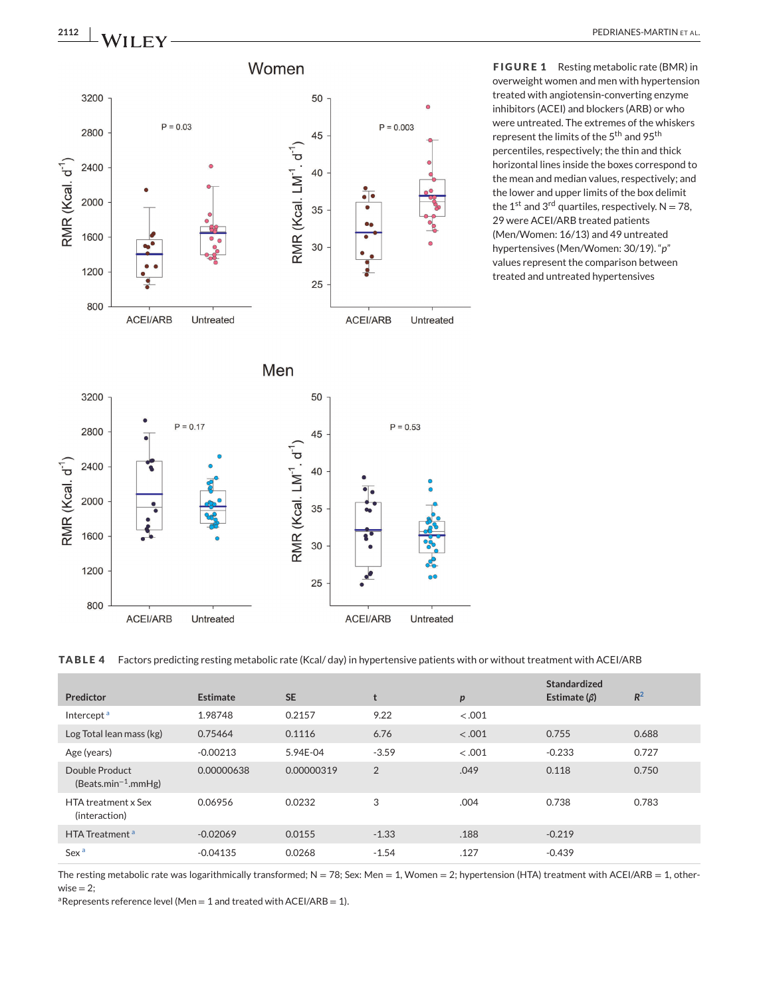<span id="page-6-0"></span>

**FIGURE 1** Resting metabolic rate (BMR) in overweight women and men with hypertension treated with angiotensin-converting enzyme inhibitors (ACEI) and blockers (ARB) or who were untreated. The extremes of the whiskers represent the limits of the 5<sup>th</sup> and 95<sup>th</sup> percentiles, respectively; the thin and thick horizontal lines inside the boxes correspond to the mean and median values, respectively; and the lower and upper limits of the box delimit the 1<sup>st</sup> and 3<sup>rd</sup> quartiles, respectively.  $N = 78$ , 29 were ACEI/ARB treated patients (Men/Women: 16/13) and 49 untreated hypertensives (Men/Women: 30/19). "*p*" values represent the comparison between treated and untreated hypertensives

**TABLE 4** Factors predicting resting metabolic rate (Kcal/ day) in hypertensive patients with or without treatment with ACEI/ARB

| Predictor                                         | <b>Estimate</b> | <b>SE</b>  | t       | $\boldsymbol{p}$ | Standardized<br>Estimate $(\beta)$ | $R^2$ |
|---------------------------------------------------|-----------------|------------|---------|------------------|------------------------------------|-------|
| Intercept <sup>a</sup>                            | 1.98748         | 0.2157     | 9.22    | $-.001$          |                                    |       |
| Log Total lean mass (kg)                          | 0.75464         | 0.1116     | 6.76    | $-.001$          | 0.755                              | 0.688 |
| Age (years)                                       | $-0.00213$      | 5.94E-04   | $-3.59$ | $-.001$          | $-0.233$                           | 0.727 |
| Double Product<br>(Beats.min <sup>-1</sup> .mmHg) | 0.00000638      | 0.00000319 | 2       | .049             | 0.118                              | 0.750 |
| <b>HTA</b> treatment x Sex<br>(interaction)       | 0.06956         | 0.0232     | 3       | .004             | 0.738                              | 0.783 |
| HTA Treatment <sup>a</sup>                        | $-0.02069$      | 0.0155     | $-1.33$ | .188             | $-0.219$                           |       |
| Sex <sup>a</sup>                                  | $-0.04135$      | 0.0268     | $-1.54$ | .127             | $-0.439$                           |       |

The resting metabolic rate was logarithmically transformed; N = 78; Sex: Men = 1, Women = 2; hypertension (HTA) treatment with ACEI/ARB = 1, other $wise = 2$ ;

<sup>a</sup>Represents reference level (Men = 1 and treated with ACEI/ARB = 1).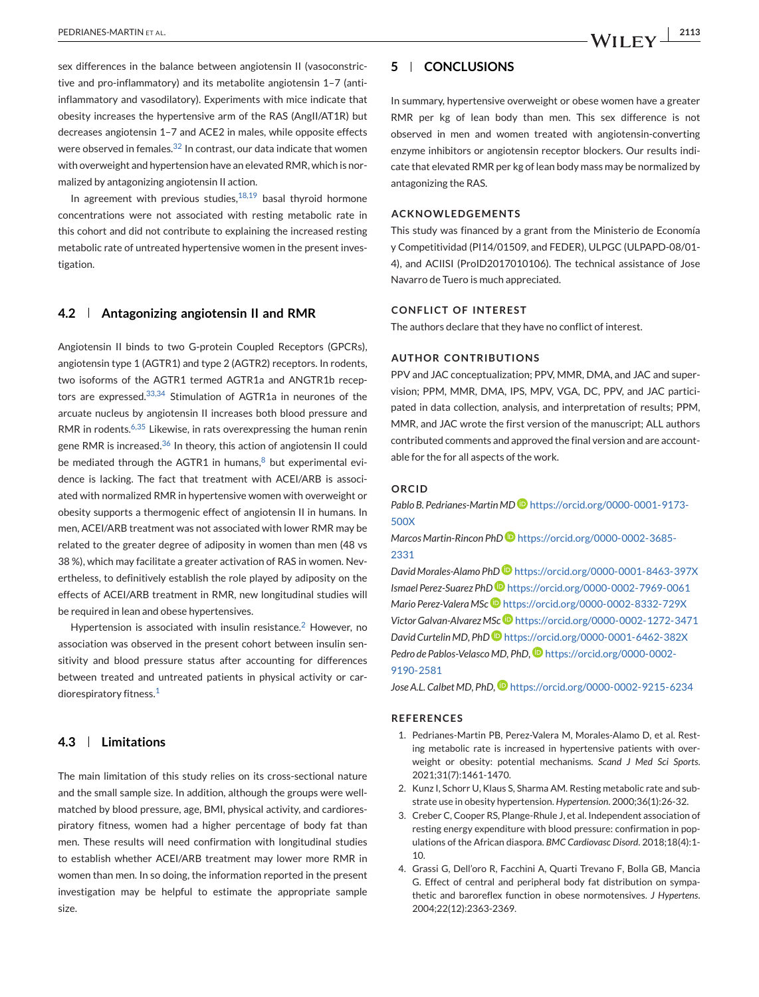<span id="page-7-0"></span>sex differences in the balance between angiotensin II (vasoconstrictive and pro-inflammatory) and its metabolite angiotensin 1–7 (antiinflammatory and vasodilatory). Experiments with mice indicate that obesity increases the hypertensive arm of the RAS (AngII/AT1R) but decreases angiotensin 1–7 and ACE2 in males, while opposite effects were observed in females.<sup>[32](#page-8-0)</sup> In contrast, our data indicate that women with overweight and hypertension have an elevated RMR, which is normalized by antagonizing angiotensin II action.

In agreement with previous studies, $18,19$  basal thyroid hormone concentrations were not associated with resting metabolic rate in this cohort and did not contribute to explaining the increased resting metabolic rate of untreated hypertensive women in the present investigation.

#### **4.2 Antagonizing angiotensin II and RMR**

Angiotensin II binds to two G-protein Coupled Receptors (GPCRs), angiotensin type 1 (AGTR1) and type 2 (AGTR2) receptors. In rodents, two isoforms of the AGTR1 termed AGTR1a and ANGTR1b recep-tors are expressed.<sup>[33,34](#page-8-0)</sup> Stimulation of AGTR1a in neurones of the arcuate nucleus by angiotensin II increases both blood pressure and RMR in rodents.<sup>[6,35](#page-8-0)</sup> Likewise, in rats overexpressing the human renin gene RMR is increased.<sup>[36](#page-8-0)</sup> In theory, this action of angiotensin II could be mediated through the AGTR1 in humans, $8$  but experimental evidence is lacking. The fact that treatment with ACEI/ARB is associated with normalized RMR in hypertensive women with overweight or obesity supports a thermogenic effect of angiotensin II in humans. In men, ACEI/ARB treatment was not associated with lower RMR may be related to the greater degree of adiposity in women than men (48 vs 38 %), which may facilitate a greater activation of RAS in women. Nevertheless, to definitively establish the role played by adiposity on the effects of ACEI/ARB treatment in RMR, new longitudinal studies will be required in lean and obese hypertensives.

Hypertension is associated with insulin resistance.<sup>2</sup> However, no association was observed in the present cohort between insulin sensitivity and blood pressure status after accounting for differences between treated and untreated patients in physical activity or cardiorespiratory fitness.<sup>1</sup>

# **4.3 Limitations**

The main limitation of this study relies on its cross-sectional nature and the small sample size. In addition, although the groups were wellmatched by blood pressure, age, BMI, physical activity, and cardiorespiratory fitness, women had a higher percentage of body fat than men. These results will need confirmation with longitudinal studies to establish whether ACEI/ARB treatment may lower more RMR in women than men. In so doing, the information reported in the present investigation may be helpful to estimate the appropriate sample size.

#### **5 CONCLUSIONS**

In summary, hypertensive overweight or obese women have a greater RMR per kg of lean body than men. This sex difference is not observed in men and women treated with angiotensin-converting enzyme inhibitors or angiotensin receptor blockers. Our results indicate that elevated RMR per kg of lean body mass may be normalized by antagonizing the RAS.

#### **ACKNOWLEDGEMENTS**

This study was financed by a grant from the Ministerio de Economía y Competitividad (PI14/01509, and FEDER), ULPGC (ULPAPD-08/01- 4), and ACIISI (ProID2017010106). The technical assistance of Jose Navarro de Tuero is much appreciated.

#### **CONFLICT OF INTEREST**

The authors declare that they have no conflict of interest.

#### **AUTHOR CONTRIBUTIONS**

PPV and JAC conceptualization; PPV, MMR, DMA, and JAC and supervision; PPM, MMR, DMA, IPS, MPV, VGA, DC, PPV, and JAC participated in data collection, analysis, and interpretation of results; PPM, MMR, and JAC wrote the first version of the manuscript; ALL authors contributed comments and approved the final version and are accountable for the for all aspects of the work.

#### **ORCID**

*Pablo B. Pedrianes-Martin MD* [https://orcid.org/0000-0001-9173-](https://orcid.org/0000-0001-9173-500X) [500X](https://orcid.org/0000-0001-9173-500X)

*Marcos Martin-Rincon PhD* [https://orcid.org/0000-0002-3685-](https://orcid.org/0000-0002-3685-2331) [2331](https://orcid.org/0000-0002-3685-2331)

*David Morales-Alamo PhD* <https://orcid.org/0000-0001-8463-397X> *Ismael Perez-Suarez PhD* <https://orcid.org/0000-0002-7969-0061> *Mario Perez-Valera MSc* <https://orcid.org/0000-0002-8332-729X> *Victor Galvan-Alvarez MSc* <https://orcid.org/0000-0002-1272-3471> *David Curtelin MD, Ph[D](https://orcid.org/0000-0001-6462-382X)* <https://orcid.org/0000-0001-6462-382X> Pedro de Pablos-Velasco MD, PhD, <sup>D</sup>[https://orcid.org/0000-0002-](https://orcid.org/0000-0002-9190-2581) [9190-2581](https://orcid.org/0000-0002-9190-2581)

*Jose A.L. Calbet MD, PhD,*  $\bullet$  <https://orcid.org/0000-0002-9215-6234>

#### **REFERENCES**

- 1. Pedrianes-Martin PB, Perez-Valera M, Morales-Alamo D, et al. Resting metabolic rate is increased in hypertensive patients with overweight or obesity: potential mechanisms. *Scand J Med Sci Sports*. 2021;31(7):1461-1470.
- 2. Kunz I, Schorr U, Klaus S, Sharma AM. Resting metabolic rate and substrate use in obesity hypertension. *Hypertension*. 2000;36(1):26-32.
- 3. Creber C, Cooper RS, Plange-Rhule J, et al. Independent association of resting energy expenditure with blood pressure: confirmation in populations of the African diaspora. *BMC Cardiovasc Disord*. 2018;18(4):1- 10.
- 4. Grassi G, Dell'oro R, Facchini A, Quarti Trevano F, Bolla GB, Mancia G. Effect of central and peripheral body fat distribution on sympathetic and baroreflex function in obese normotensives. *J Hypertens*. 2004;22(12):2363-2369.